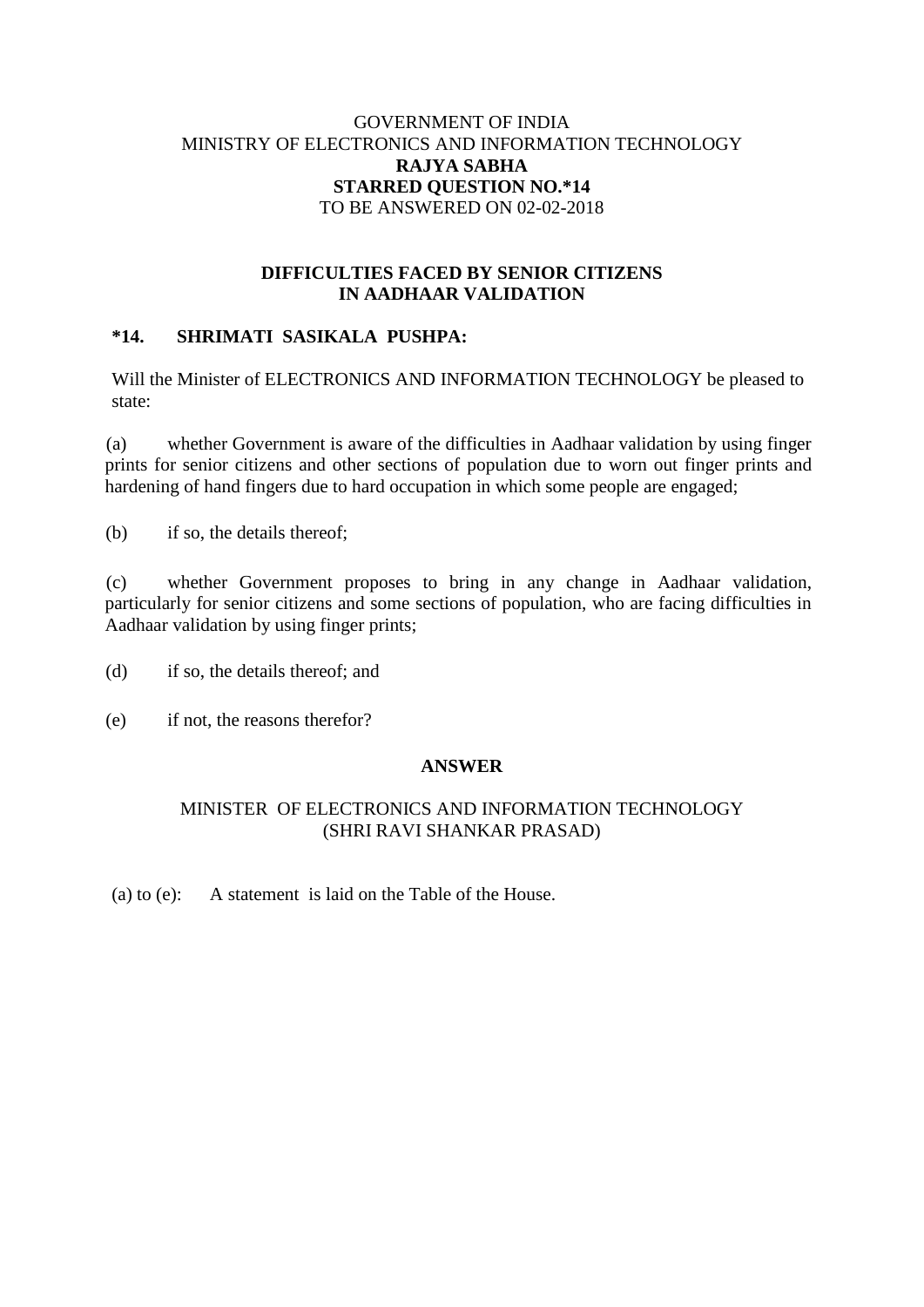## GOVERNMENT OF INDIA MINISTRY OF ELECTRONICS AND INFORMATION TECHNOLOGY **RAJYA SABHA STARRED QUESTION NO.\*14** TO BE ANSWERED ON 02-02-2018

## **DIFFICULTIES FACED BY SENIOR CITIZENS IN AADHAAR VALIDATION**

# **\*14. SHRIMATI SASIKALA PUSHPA:**

Will the Minister of ELECTRONICS AND INFORMATION TECHNOLOGY be pleased to state:

(a) whether Government is aware of the difficulties in Aadhaar validation by using finger prints for senior citizens and other sections of population due to worn out finger prints and hardening of hand fingers due to hard occupation in which some people are engaged;

(b) if so, the details thereof;

(c) whether Government proposes to bring in any change in Aadhaar validation, particularly for senior citizens and some sections of population, who are facing difficulties in Aadhaar validation by using finger prints;

(d) if so, the details thereof; and

(e) if not, the reasons therefor?

#### **ANSWER**

## MINISTER OF ELECTRONICS AND INFORMATION TECHNOLOGY (SHRI RAVI SHANKAR PRASAD)

(a) to (e): A statement is laid on the Table of the House.